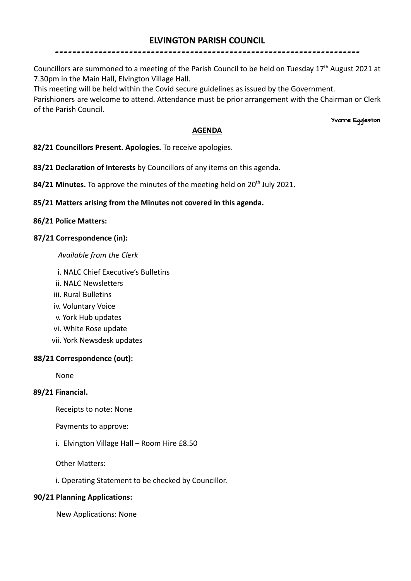# **ELVINGTON PARISH COUNCIL**

----------------------------------------------------------------------

# Councillors are summoned to a meeting of the Parish Council to be held on Tuesday 17<sup>th</sup> August 2021 at 7.30pm in the Main Hall, Elvington Village Hall.

This meeting will be held within the Covid secure guidelines as issued by the Government.

Parishioners are welcome to attend. Attendance must be prior arrangement with the Chairman or Clerk of the Parish Council.

Yvonne Eggleston

# **AGENDA**

**82/21 Councillors Present. Apologies.** To receive apologies.

**83/21 Declaration of Interests** by Councillors of any items on this agenda.

84/21 Minutes. To approve the minutes of the meeting held on 20<sup>th</sup> July 2021.

# **85/21 Matters arising from the Minutes not covered in this agenda.**

# **86/21 Police Matters:**

# **87/21 Correspondence (in):**

#### *Available from the Clerk*

- i. NALC Chief Executive's Bulletins
- ii. NALC Newsletters
- iii. Rural Bulletins
- iv. Voluntary Voice
- v. York Hub updates
- vi. White Rose update
- vii. York Newsdesk updates

# **88/21 Correspondence (out):**

None

# **89/21 Financial.**

Receipts to note: None

Payments to approve:

i. Elvington Village Hall – Room Hire £8.50

Other Matters:

i. Operating Statement to be checked by Councillor.

#### **90/21 Planning Applications:**

New Applications: None